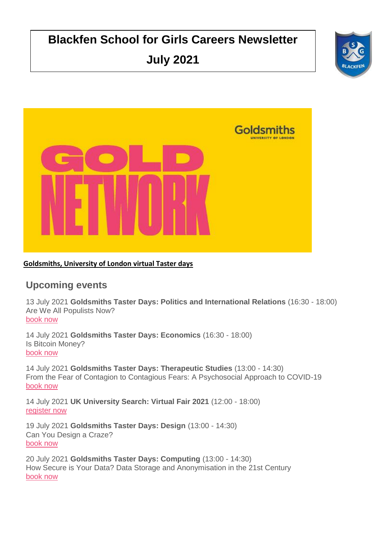# **Blackfen School for Girls Careers Newsletter July 2021**





## **Goldsmiths, University of London virtual Taster days**

## **Upcoming events**

13 July 2021 **Goldsmiths Taster Days: Politics and International Relations** (16:30 - 18:00) Are We All Populists Now? [book now](https://click.geckoengage.com/CL0/https:%2F%2Fwww.gold.ac.uk%2Fgold-taster-days%2Ftaster-day-booking-form%2F/1/0102017aa008321a-179128c7-1db0-4fdb-90d1-913ae29c145d-000000/Nimf1hYLKbU0ZW-uuW0nnUV58MtvRvTcIdv8FmU5Beg=205)

14 July 2021 **Goldsmiths Taster Days: Economics** (16:30 - 18:00) Is Bitcoin Money? [book now](https://click.geckoengage.com/CL0/https:%2F%2Fwww.gold.ac.uk%2Fgold-taster-days%2Ftaster-day-booking-form%2F/2/0102017aa008321a-179128c7-1db0-4fdb-90d1-913ae29c145d-000000/puT4yFVDLycFw_PvDBXzi3bgCsf83lym4qy-RP_An8M=205)

14 July 2021 **Goldsmiths Taster Days: Therapeutic Studies** (13:00 - 14:30) From the Fear of Contagion to Contagious Fears: A Psychosocial Approach to COVID-19 [book now](https://click.geckoengage.com/CL0/https:%2F%2Fwww.gold.ac.uk%2Fgold-taster-days%2Ftaster-day-booking-form%2F/3/0102017aa008321a-179128c7-1db0-4fdb-90d1-913ae29c145d-000000/HCQF3MVhozcM1TT_E39dNERpZ7a9in983WxSkeoicW4=205)

14 July 2021 **UK University Search: Virtual Fair 2021** (12:00 - 18:00) [register now](https://click.geckoengage.com/CL0/https:%2F%2Fukunisearch.vfairs.com%2F/1/0102017aa008321a-179128c7-1db0-4fdb-90d1-913ae29c145d-000000/7GBbJyaVdtYlPaOCpS_1lc8M_y7jrKlRwsnchXTz1Hg=205)

19 July 2021 **Goldsmiths Taster Days: Design** (13:00 - 14:30) Can You Design a Craze? [book now](https://click.geckoengage.com/CL0/https:%2F%2Fwww.gold.ac.uk%2Fgold-taster-days%2Ftaster-day-booking-form%2F/4/0102017aa008321a-179128c7-1db0-4fdb-90d1-913ae29c145d-000000/vwPztGs2c9ezcDKKsJY9Hx6SwIicFvlixzlqI6wbOcY=205)

20 July 2021 **Goldsmiths Taster Days: Computing** (13:00 - 14:30) How Secure is Your Data? Data Storage and Anonymisation in the 21st Century [book now](https://click.geckoengage.com/CL0/https:%2F%2Fwww.gold.ac.uk%2Fgold-taster-days%2Ftaster-day-booking-form%2F/5/0102017aa008321a-179128c7-1db0-4fdb-90d1-913ae29c145d-000000/KF4g5_br2DalIQcSaDcBl42xqByxf-xof9_-BLyNjec=205)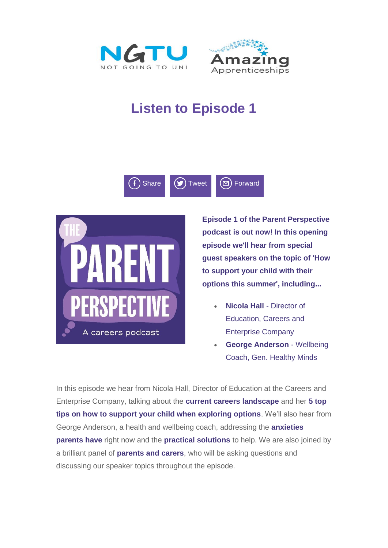



# **Listen to Episode 1**





**Episode 1 of the Parent Perspective podcast is out now! In this opening episode we'll hear from special guest speakers on the topic of 'How to support your child with their options this summer', including...**

- **Nicola Hall** Director of Education, Careers and Enterprise Company
- **George Anderson** Wellbeing Coach, Gen. Healthy Minds

In this episode we hear from Nicola Hall, Director of Education at the Careers and Enterprise Company, talking about the **current careers landscape** and her **5 top tips on how to support your child when exploring options**. We'll also hear from George Anderson, a health and wellbeing coach, addressing the **anxieties parents have** right now and the **practical solutions** to help. We are also joined by a brilliant panel of **parents and carers**, who will be asking questions and discussing our speaker topics throughout the episode.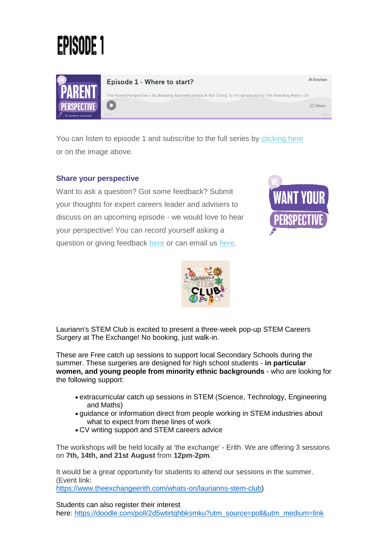



Episode 1 - Where to start?

The Parent Perspective • By Amazing Apprenticeships & Not Going To Uni (produced by The Branding Man) • 30  $\mathbf{E}$ **小 Share** 

You can listen to episode 1 and subscribe to the full series by [clicking here](https://amazingapprenticeships.us11.list-manage.com/track/click?u=9f89f859eb0be9d437b1414c3&id=a809d5d77d&e=decb61ea9c) or on the image above.

## **Share your perspective**

Want to ask a question? Got some feedback? Submit your thoughts for expert careers leader and advisers to discuss on an upcoming episode - we would love to hear your perspective! You can record yourself asking a question or giving feedback [here](https://amazingapprenticeships.us11.list-manage.com/track/click?u=9f89f859eb0be9d437b1414c3&id=c5a2ee8dca&e=decb61ea9c) or can email us [here.](mailto:lucy@amazingapprenticeships.com)



M Anchor.



Lauriann's STEM Club is excited to present a three-week pop-up STEM Careers Surgery at The Exchange! No booking, just walk-in.

These are Free catch up sessions to support local Secondary Schools during the summer. These surgeries are designed for high school students - **in particular women, and young people from minority ethnic backgrounds** - who are looking for the following support:

- extracurricular catch up sessions in STEM (Science, Technology, Engineering and Maths)
- guidance or information direct from people working in STEM industries about what to expect from these lines of work
- CV writing support and STEM careers advice

The workshops will be held locally at 'the exchange' - Erith. We are offering 3 sessions on **7th, 14th, and 21st August** from **12pm-2pm**.

It would be a great opportunity for students to attend our sessions in the summer. (Event link: [https://www.theexchangeerith.com/whats-on/laurianns-stem-club\)](https://www.theexchangeerith.com/whats-on/laurianns-stem-club)

Students can also register their interest here: [https://doodle.com/poll/2d5wtirtqhbksmku?utm\\_source=poll&utm\\_medium=link](https://doodle.com/poll/2d5wtirtqhbksmku?utm_source=poll&utm_medium=link)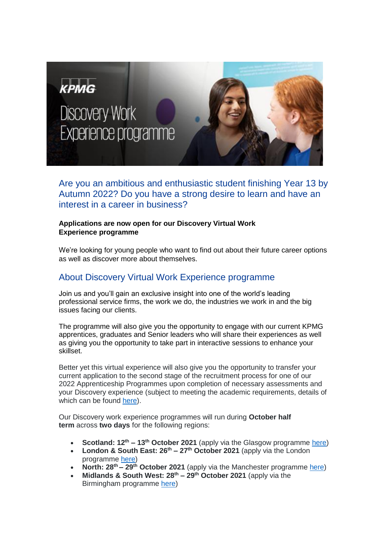

Are you an ambitious and enthusiastic student finishing Year 13 by Autumn 2022? Do you have a strong desire to learn and have an interest in a career in business?

### **Applications are now open for our Discovery Virtual Work Experience programme**

We're looking for young people who want to find out about their future career options as well as discover more about themselves.

## About Discovery Virtual Work Experience programme

Join us and you'll gain an exclusive insight into one of the world's leading professional service firms, the work we do, the industries we work in and the big issues facing our clients.

The programme will also give you the opportunity to engage with our current KPMG apprentices, graduates and Senior leaders who will share their experiences as well as giving you the opportunity to take part in interactive sessions to enhance your skillset.

Better yet this virtual experience will also give you the opportunity to transfer your current application to the second stage of the recruitment process for one of our 2022 Apprenticeship Programmes upon completion of necessary assessments and your Discovery experience (subject to meeting the academic requirements, details of which can be found [here\)](https://www.kpmgcareers.co.uk/apprentice/applying-to-kpmg/entry-requirements/).

Our Discovery work experience programmes will run during **October half term** across **two days** for the following regions:

- **Scotland: 12th – 13th October 2021** (apply via the Glasgow programme [here\)](https://www.kpmgcareers.co.uk/vacancies/work-experience-discovery-insight-programme-glasgow-tbc-2021/625b7204-2e5d-1b8e-4032-ac8724ddde40)
- **London & South East: 26th – 27th October 2021** (apply via the London programme [here\)](https://www.kpmgcareers.co.uk/vacancies/work-experience-discovery-insight-programme-london-tbc-2021/990cbe78-9957-d9e3-4105-2d3c420d957c)
- **North: 28th – 29th October 2021** (apply via the Manchester programme [here\)](https://www.kpmgcareers.co.uk/vacancies/work-experience-discovery-insight-programme-manchester-tbc-2021/9a0e0fb0-101c-1e66-00a6-8a878b557df9)
- **Midlands & South West: 28th – 29th October 2021** (apply via the Birmingham programme [here\)](https://www.kpmgcareers.co.uk/vacancies/work-experience-discovery-insight-programme-birmingham-tbc-2021/ef8188c3-ad85-3a24-915f-0ea12e82adaa)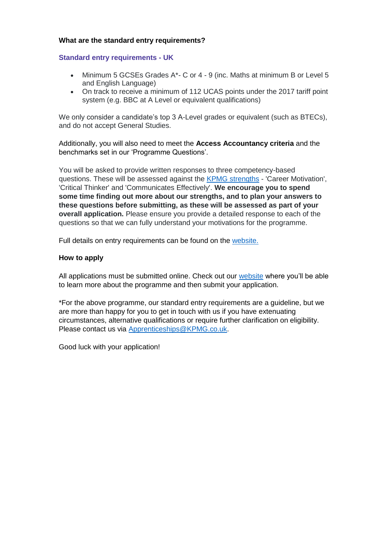#### **What are the standard entry requirements?**

#### **Standard entry requirements - UK**

- Minimum 5 GCSEs Grades A\*- C or 4 9 (inc. Maths at minimum B or Level 5 and English Language)
- On track to receive a minimum of 112 UCAS points under the 2017 tariff point system (e.g. BBC at A Level or equivalent qualifications)

We only consider a candidate's top 3 A-Level grades or equivalent (such as BTECs), and do not accept General Studies.

Additionally, you will also need to meet the **[Access Accountancy criteria](https://www.kpmgcareers.co.uk/apprenticeships/apprenticeship-programmes/kpmg-discovery#kpmg-discovery-week)** and the benchmarks set in our 'Programme Questions'.

You will be asked to provide written responses to three competency-based questions. These will be assessed against the [KPMG strengths](https://www.kpmgcareers.co.uk/apprentice/applying-to-kpmg/is-kpmg-right-for-me/) - 'Career Motivation', 'Critical Thinker' and 'Communicates Effectively'. **We encourage you to spend some time finding out more about our strengths, and to plan your answers to these questions before submitting, as these will be assessed as part of your overall application.** Please ensure you provide a detailed response to each of the questions so that we can fully understand your motivations for the programme.

Full details on entry requirements can be found on the [website.](https://www.kpmgcareers.co.uk/apprentice/discovery-work-experience/)

#### **How to apply**

All applications must be submitted online. Check out our [website](https://www.kpmgcareers.co.uk/apprentice/discovery-work-experience/) where you'll be able to learn more about the programme and then submit your application.

\*For the above programme, our standard entry requirements are a guideline, but we are more than happy for you to get in touch with us if you have extenuating circumstances, alternative qualifications or require further clarification on eligibility. Please contact us via [Apprenticeships@KPMG.co.uk.](mailto:Apprenticeships@KPMG.co.uk)

Good luck with your application!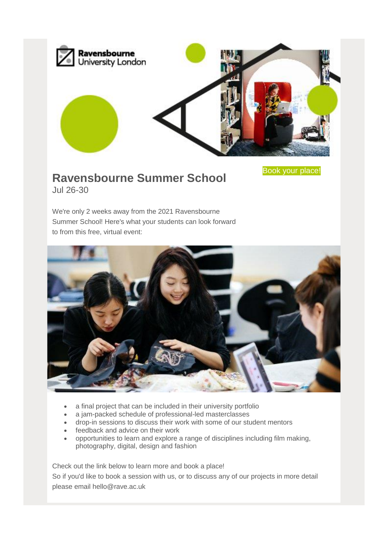

Book your [place!](https://rave.radiusbycampusmgmt.com/crm/CRMUrlRedirect.sas?cbLta5tIK=5068000000668801&hHm03GanIn=5068000014330868&u=aHR0cHM6Ly93d3cucmF2ZW5zYm91cm5lLmFjLnVrL2Nvbm5lY3QvZXZlbnRzL3N1bW1lci1zY2hvb2wtMjAyMQ%3D%3D&u5eyNm8e=bC5qYXJ2aXNAcmF2ZS5hYy51aw==&newEvent=true)

# **Ravensbourne Summer School** Jul 26-30

We're only 2 weeks away from the 2021 Ravensbourne Summer School! Here's what your students can look forward to from this free, virtual event:



- a final project that can be included in their university portfolio
- a jam-packed schedule of professional-led masterclasses
- drop-in sessions to discuss their work with some of our student mentors
- feedback and advice on their work
- opportunities to learn and explore a range of disciplines including film making, photography, digital, design and fashion

Check out the link below to learn more and book a place!

So if you'd like to book a session with us, or to discuss any of our projects in more detail please email hello@rave.ac.uk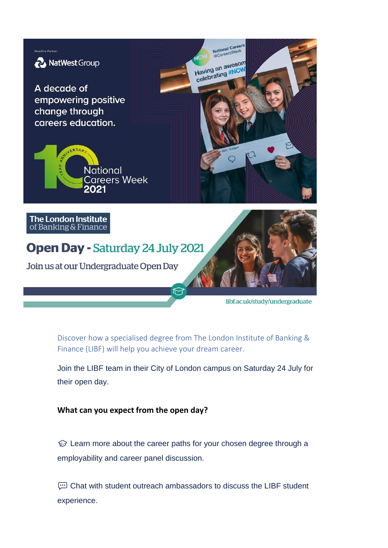

Discover how a specialised degree from The London Institute of Banking & Finance (LIBF) will help you achieve your dream career.

Join the LIBF team in their City of London campus on Saturday 24 July for their open day.

**What can you expect from the open day?**

 $\circledR$  Learn more about the career paths for your chosen degree through a employability and career panel discussion.

 Chat with student outreach ambassadors to discuss the LIBF student experience.